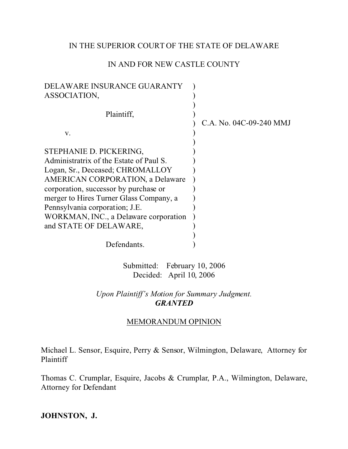## IN THE SUPERIOR COURT OF THE STATE OF DELAWARE

# IN AND FOR NEW CASTLE COUNTY

| DELAWARE INSURANCE GUARANTY<br>ASSOCIATION,                                 |                         |
|-----------------------------------------------------------------------------|-------------------------|
| Plaintiff,                                                                  | C.A. No. 04C-09-240 MMJ |
| V.                                                                          |                         |
| STEPHANIE D. PICKERING,<br>Administratrix of the Estate of Paul S.          |                         |
| Logan, Sr., Deceased; CHROMALLOY<br><b>AMERICAN CORPORATION, a Delaware</b> |                         |
| corporation, successor by purchase or                                       |                         |
| merger to Hires Turner Glass Company, a<br>Pennsylvania corporation; J.E.   |                         |
| WORKMAN, INC., a Delaware corporation<br>and STATE OF DELAWARE,             |                         |
| Defendants.                                                                 |                         |

Submitted: February 10, 2006 Decided: April 10, 2006

*Upon Plaintiff's Motion for Summary Judgment. GRANTED*

### MEMORANDUM OPINION

Michael L. Sensor, Esquire, Perry & Sensor, Wilmington, Delaware, Attorney for Plaintiff

Thomas C. Crumplar, Esquire, Jacobs & Crumplar, P.A., Wilmington, Delaware, Attorney for Defendant

**JOHNSTON, J.**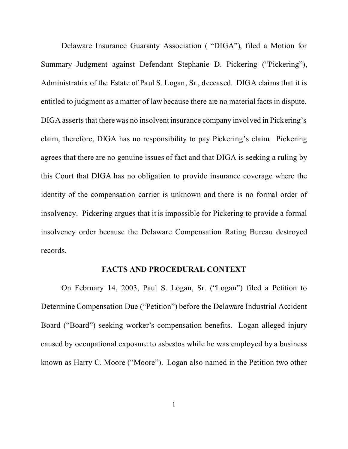Delaware Insurance Guaranty Association ( "DIGA"), filed a Motion for Summary Judgment against Defendant Stephanie D. Pickering ("Pickering"), Administratrix of the Estate of Paul S. Logan, Sr., deceased. DIGA claims that it is entitled to judgment as a matter of law because there are no material facts in dispute. DIGA asserts that there was no insolvent insurance company involved in Pickering's claim, therefore, DIGA has no responsibility to pay Pickering's claim. Pickering agrees that there are no genuine issues of fact and that DIGA is seeking a ruling by this Court that DIGA has no obligation to provide insurance coverage where the identity of the compensation carrier is unknown and there is no formal order of insolvency. Pickering argues that it is impossible for Pickering to provide a formal insolvency order because the Delaware Compensation Rating Bureau destroyed records.

#### **FACTS AND PROCEDURAL CONTEXT**

On February 14, 2003, Paul S. Logan, Sr. ("Logan") filed a Petition to Determine Compensation Due ("Petition") before the Delaware Industrial Accident Board ("Board") seeking worker's compensation benefits. Logan alleged injury caused by occupational exposure to asbestos while he was employed by a business known as Harry C. Moore ("Moore"). Logan also named in the Petition two other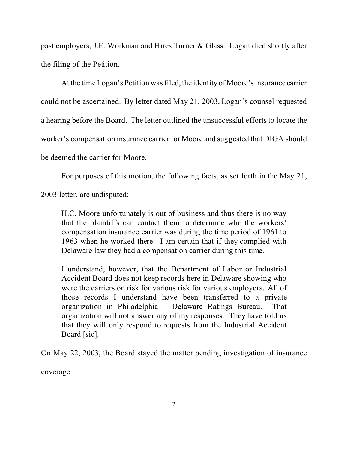past employers, J.E. Workman and Hires Turner & Glass. Logan died shortly after the filing of the Petition.

At the time Logan's Petition was filed, the identity of Moore's insurance carrier could not be ascertained. By letter dated May 21, 2003, Logan's counsel requested a hearing before the Board. The letter outlined the unsuccessful efforts to locate the worker's compensation insurance carrier for Moore and suggested that DIGA should be deemed the carrier for Moore.

For purposes of this motion, the following facts, as set forth in the May 21,

2003 letter, are undisputed:

H.C. Moore unfortunately is out of business and thus there is no way that the plaintiffs can contact them to determine who the workers' compensation insurance carrier was during the time period of 1961 to 1963 when he worked there. I am certain that if they complied with Delaware law they had a compensation carrier during this time.

I understand, however, that the Department of Labor or Industrial Accident Board does not keep records here in Delaware showing who were the carriers on risk for various risk for various employers. All of those records I understand have been transferred to a private organization in Philadelphia – Delaware Ratings Bureau. That organization will not answer any of my responses. They have told us that they will only respond to requests from the Industrial Accident Board [sic].

On May 22, 2003, the Board stayed the matter pending investigation of insurance coverage.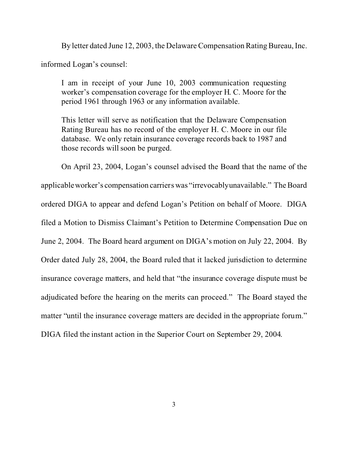By letter dated June 12, 2003, the Delaware Compensation Rating Bureau, Inc.

informed Logan's counsel:

I am in receipt of your June 10, 2003 communication requesting worker's compensation coverage for the employer H. C. Moore for the period 1961 through 1963 or any information available.

This letter will serve as notification that the Delaware Compensation Rating Bureau has no record of the employer H. C. Moore in our file database. We only retain insurance coverage records back to 1987 and those records will soon be purged.

On April 23, 2004, Logan's counsel advised the Board that the name of the applicable worker's compensation carriers was "irrevocablyunavailable." The Board ordered DIGA to appear and defend Logan's Petition on behalf of Moore. DIGA filed a Motion to Dismiss Claimant's Petition to Determine Compensation Due on June 2, 2004. The Board heard argument on DIGA's motion on July 22, 2004. By Order dated July 28, 2004, the Board ruled that it lacked jurisdiction to determine insurance coverage matters, and held that "the insurance coverage dispute must be adjudicated before the hearing on the merits can proceed." The Board stayed the matter "until the insurance coverage matters are decided in the appropriate forum." DIGA filed the instant action in the Superior Court on September 29, 2004.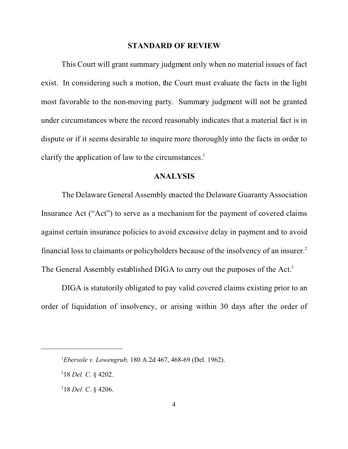#### **STANDARD OF REVIEW**

This Court will grant summary judgment only when no material issues of fact exist. In considering such a motion, the Court must evaluate the facts in the light most favorable to the non-moving party. Summary judgment will not be granted under circumstances where the record reasonably indicates that a material fact is in dispute or if it seems desirable to inquire more thoroughly into the facts in order to clarify the application of law to the circumstances.<sup>1</sup>

#### **ANALYSIS**

The Delaware General Assembly enacted the Delaware Guaranty Association Insurance Act ("Act") to serve as a mechanism for the payment of covered claims against certain insurance policies to avoid excessive delay in payment and to avoid financial loss to claimants or policyholders because of the insolvency of an insurer.<sup>2</sup> The General Assembly established DIGA to carry out the purposes of the Act.<sup>3</sup>

DIGA is statutorily obligated to pay valid covered claims existing prior to an order of liquidation of insolvency, or arising within 30 days after the order of

<sup>1</sup>*Ebersole v. Lowengrub,* 180 A.2d 467, 468-69 (Del. 1962).

<sup>2</sup> 18 *Del. C*. § 4202.

<sup>3</sup> 18 *Del. C*. § 4206.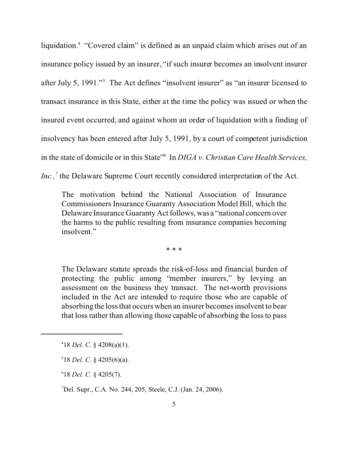liquidation.<sup>4</sup> "Covered claim" is defined as an unpaid claim which arises out of an insurance policy issued by an insurer, "if such insurer becomes an insolvent insurer after July 5, 1991."<sup>5</sup> The Act defines "insolvent insurer" as "an insurer licensed to transact insurance in this State, either at the time the policy was issued or when the insured event occurred, and against whom an order of liquidation with a finding of insolvency has been entered after July 5, 1991, by a court of competent jurisdiction in the state of domicile or in this State"<sup>6</sup> In *DIGA v. Christian Care Health Services, Inc.,<sup>7</sup>* the Delaware Supreme Court recently considered interpretation of the Act.

The motivation behind the National Association of Insurance Commissioners Insurance Guaranty Association Model Bill, which the Delaware Insurance Guaranty Act follows, was a "national concern over the harms to the public resulting from insurance companies becoming insolvent."

\* \* \*

The Delaware statute spreads the risk-of-loss and financial burden of protecting the public among "member insurers," by levying an assessment on the business they transact. The net-worth provisions included in the Act are intended to require those who are capable of absorbing the loss that occurs when an insurer becomes insolvent to bear that loss rather than allowing those capable of absorbing the loss to pass

6 18 *Del. C*. § 4205(7).

<sup>7</sup>Del. Supr., C.A. No. 244, 205, Steele, C.J. (Jan. 24, 2006).

<sup>4</sup> 18 *Del. C*. § 4208(a)(1).

<sup>5</sup> 18 *Del. C*. § 4205(6)(a).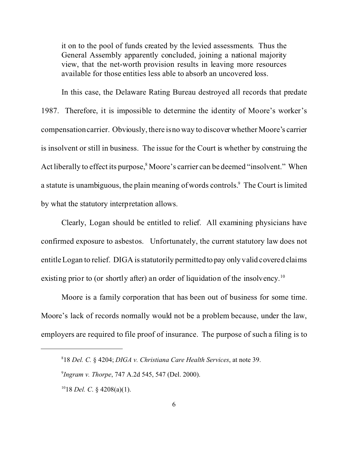it on to the pool of funds created by the levied assessments. Thus the General Assembly apparently concluded, joining a national majority view, that the net-worth provision results in leaving more resources available for those entities less able to absorb an uncovered loss.

In this case, the Delaware Rating Bureau destroyed all records that predate 1987. Therefore, it is impossible to determine the identity of Moore's worker's compensation carrier. Obviously, there is no way to discover whether Moore's carrier is insolvent or still in business. The issue for the Court is whether by construing the Act liberally to effect its purpose,<sup>8</sup> Moore's carrier can be deemed "insolvent." When a statute is unambiguous, the plain meaning of words controls.<sup>9</sup> The Court is limited by what the statutory interpretation allows.

Clearly, Logan should be entitled to relief. All examining physicians have confirmed exposure to asbestos. Unfortunately, the current statutory law does not entitle Logan to relief. DIGA is statutorily permitted to pay only valid covered claims existing prior to (or shortly after) an order of liquidation of the insolvency.<sup>10</sup>

Moore is a family corporation that has been out of business for some time. Moore's lack of records normally would not be a problem because, under the law, employers are required to file proof of insurance. The purpose of such a filing is to

<sup>8</sup> 18 *Del. C.* § 4204; *DIGA v. Christiana Care Health Services*, at note 39.

<sup>9</sup> *Ingram v. Thorpe*, 747 A.2d 545, 547 (Del. 2000).

<sup>10</sup>18 *Del. C*. § 4208(a)(1).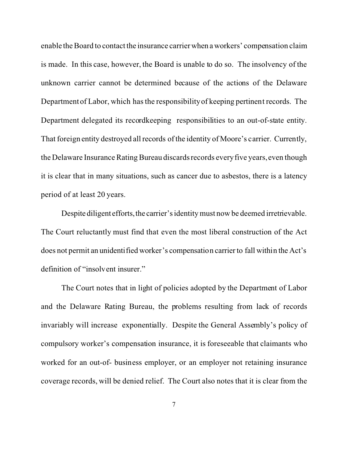enable the Board to contact the insurance carrier when aworkers' compensation claim is made. In this case, however, the Board is unable to do so. The insolvency of the unknown carrier cannot be determined because of the actions of the Delaware Department of Labor, which has the responsibility of keeping pertinent records. The Department delegated its recordkeeping responsibilities to an out-of-state entity. That foreign entity destroyed all records of the identity of Moore's carrier. Currently, the Delaware Insurance Rating Bureau discards records every five years, even though it is clear that in many situations, such as cancer due to asbestos, there is a latency period of at least 20 years.

Despite diligent efforts, the carrier's identity must now be deemed irretrievable. The Court reluctantly must find that even the most liberal construction of the Act does not permit an unidentified worker's compensation carrier to fall within the Act's definition of "insolvent insurer."

The Court notes that in light of policies adopted by the Department of Labor and the Delaware Rating Bureau, the problems resulting from lack of records invariably will increase exponentially. Despite the General Assembly's policy of compulsory worker's compensation insurance, it is foreseeable that claimants who worked for an out-of- business employer, or an employer not retaining insurance coverage records, will be denied relief. The Court also notes that it is clear from the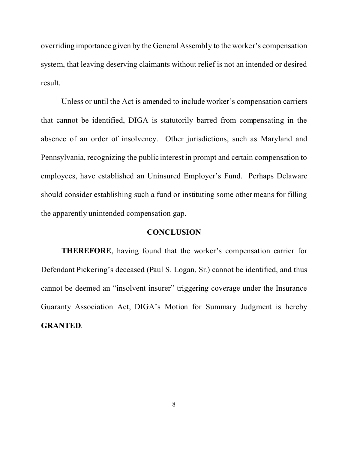overriding importance given by the General Assembly to the worker's compensation system, that leaving deserving claimants without relief is not an intended or desired result.

Unless or until the Act is amended to include worker's compensation carriers that cannot be identified, DIGA is statutorily barred from compensating in the absence of an order of insolvency. Other jurisdictions, such as Maryland and Pennsylvania, recognizing the public interest in prompt and certain compensation to employees, have established an Uninsured Employer's Fund. Perhaps Delaware should consider establishing such a fund or instituting some other means for filling the apparently unintended compensation gap.

#### **CONCLUSION**

**THEREFORE**, having found that the worker's compensation carrier for Defendant Pickering's deceased (Paul S. Logan, Sr.) cannot be identified, and thus cannot be deemed an "insolvent insurer" triggering coverage under the Insurance Guaranty Association Act, DIGA's Motion for Summary Judgment is hereby **GRANTED**.